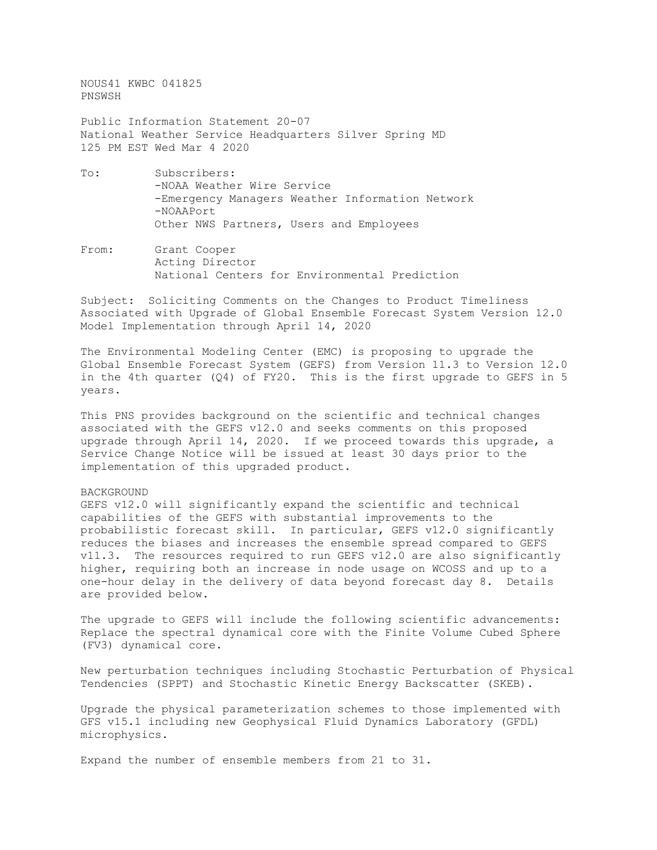NOUS41 KWBC 041825 PNSWSH Public Information Statement 20-07 National Weather Service Headquarters Silver Spring MD 125 PM EST Wed Mar 4 2020 To: Subscribers: -NOAA Weather Wire Service -Emergency Managers Weather Information Network -NOAAPort Other NWS Partners, Users and Employees

From: Grant Cooper Acting Director National Centers for Environmental Prediction

Subject: Soliciting Comments on the Changes to Product Timeliness Associated with Upgrade of Global Ensemble Forecast System Version 12.0 Model Implementation through April 14, 2020

The Environmental Modeling Center (EMC) is proposing to upgrade the Global Ensemble Forecast System (GEFS) from Version 11.3 to Version 12.0 in the 4th quarter  $(Q4)$  of FY20. This is the first upgrade to GEFS in 5 years.

This PNS provides background on the scientific and technical changes associated with the GEFS v12.0 and seeks comments on this proposed upgrade through April 14, 2020. If we proceed towards this upgrade, a Service Change Notice will be issued at least 30 days prior to the implementation of this upgraded product.

## BACKGROUND

GEFS v12.0 will significantly expand the scientific and technical capabilities of the GEFS with substantial improvements to the probabilistic forecast skill. In particular, GEFS v12.0 significantly reduces the biases and increases the ensemble spread compared to GEFS v11.3. The resources required to run GEFS v12.0 are also significantly higher, requiring both an increase in node usage on WCOSS and up to a one-hour delay in the delivery of data beyond forecast day 8. Details are provided below.

The upgrade to GEFS will include the following scientific advancements: Replace the spectral dynamical core with the Finite Volume Cubed Sphere (FV3) dynamical core.

New perturbation techniques including Stochastic Perturbation of Physical Tendencies (SPPT) and Stochastic Kinetic Energy Backscatter (SKEB).

Upgrade the physical parameterization schemes to those implemented with GFS v15.1 including new Geophysical Fluid Dynamics Laboratory (GFDL) microphysics.

Expand the number of ensemble members from 21 to 31.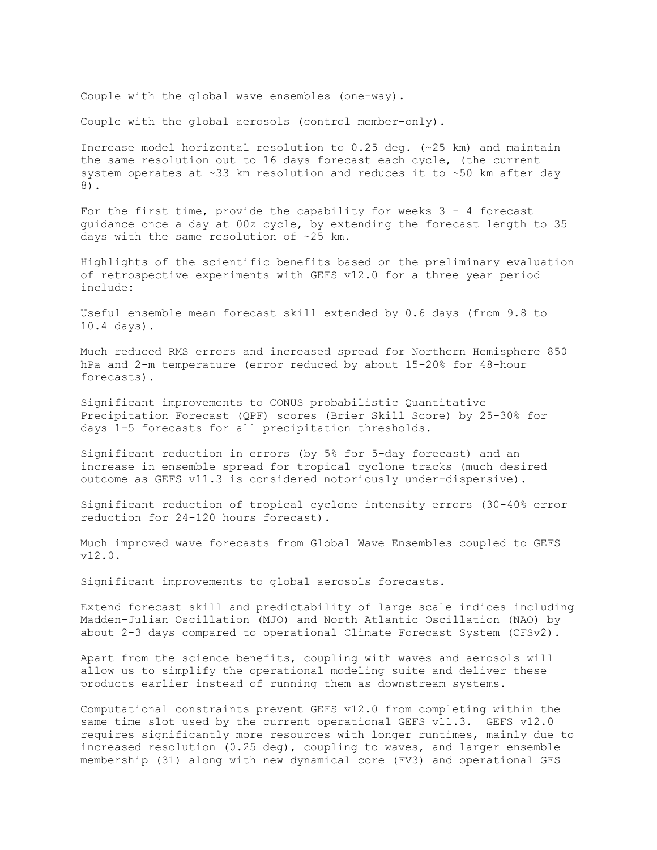Couple with the global wave ensembles (one-way).

Couple with the global aerosols (control member-only).

Increase model horizontal resolution to 0.25 deg. (~25 km) and maintain the same resolution out to 16 days forecast each cycle, (the current system operates at ~33 km resolution and reduces it to ~50 km after day 8).

For the first time, provide the capability for weeks  $3 - 4$  forecast guidance once a day at 00z cycle, by extending the forecast length to 35 days with the same resolution of ~25 km.

Highlights of the scientific benefits based on the preliminary evaluation of retrospective experiments with GEFS v12.0 for a three year period include:

Useful ensemble mean forecast skill extended by 0.6 days (from 9.8 to 10.4 days).

Much reduced RMS errors and increased spread for Northern Hemisphere 850 hPa and 2-m temperature (error reduced by about 15-20% for 48-hour forecasts).

Significant improvements to CONUS probabilistic Quantitative Precipitation Forecast (QPF) scores (Brier Skill Score) by 25-30% for days 1-5 forecasts for all precipitation thresholds.

Significant reduction in errors (by 5% for 5-day forecast) and an increase in ensemble spread for tropical cyclone tracks (much desired outcome as GEFS v11.3 is considered notoriously under-dispersive).

Significant reduction of tropical cyclone intensity errors (30-40% error reduction for 24-120 hours forecast).

Much improved wave forecasts from Global Wave Ensembles coupled to GEFS v12.0.

Significant improvements to global aerosols forecasts.

Extend forecast skill and predictability of large scale indices including Madden-Julian Oscillation (MJO) and North Atlantic Oscillation (NAO) by about 2-3 days compared to operational Climate Forecast System (CFSv2).

Apart from the science benefits, coupling with waves and aerosols will allow us to simplify the operational modeling suite and deliver these products earlier instead of running them as downstream systems.

Computational constraints prevent GEFS v12.0 from completing within the same time slot used by the current operational GEFS v11.3. GEFS v12.0 requires significantly more resources with longer runtimes, mainly due to increased resolution (0.25 deg), coupling to waves, and larger ensemble membership (31) along with new dynamical core (FV3) and operational GFS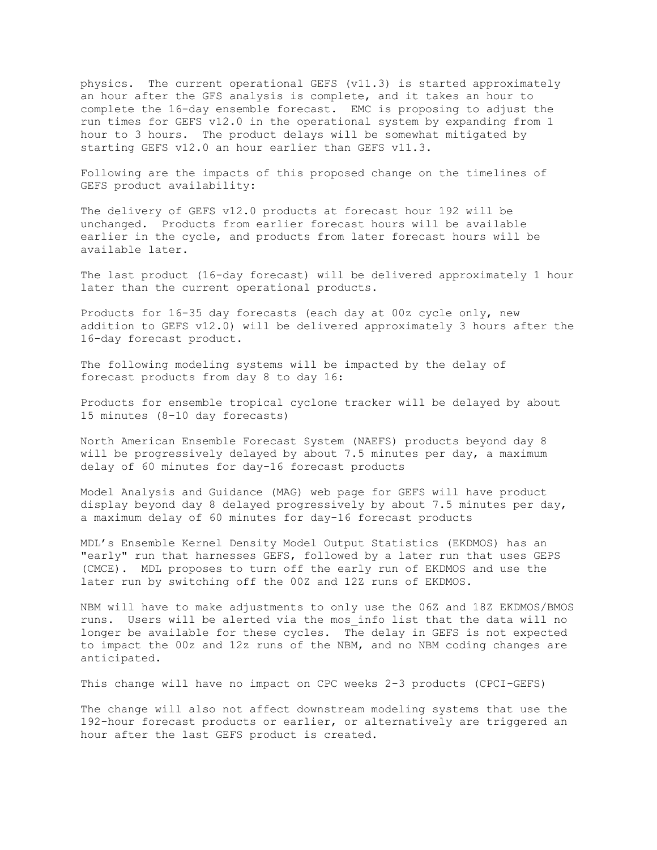physics. The current operational GEFS (v11.3) is started approximately an hour after the GFS analysis is complete, and it takes an hour to complete the 16-day ensemble forecast. EMC is proposing to adjust the run times for GEFS v12.0 in the operational system by expanding from 1 hour to 3 hours. The product delays will be somewhat mitigated by starting GEFS v12.0 an hour earlier than GEFS v11.3.

Following are the impacts of this proposed change on the timelines of GEFS product availability:

The delivery of GEFS v12.0 products at forecast hour 192 will be unchanged. Products from earlier forecast hours will be available earlier in the cycle, and products from later forecast hours will be available later.

The last product (16-day forecast) will be delivered approximately 1 hour later than the current operational products.

Products for 16-35 day forecasts (each day at 00z cycle only, new addition to GEFS v12.0) will be delivered approximately 3 hours after the 16-day forecast product.

The following modeling systems will be impacted by the delay of forecast products from day 8 to day 16:

Products for ensemble tropical cyclone tracker will be delayed by about 15 minutes (8-10 day forecasts)

North American Ensemble Forecast System (NAEFS) products beyond day 8 will be progressively delayed by about 7.5 minutes per day, a maximum delay of 60 minutes for day-16 forecast products

Model Analysis and Guidance (MAG) web page for GEFS will have product display beyond day 8 delayed progressively by about 7.5 minutes per day, a maximum delay of 60 minutes for day-16 forecast products

MDL's Ensemble Kernel Density Model Output Statistics (EKDMOS) has an "early" run that harnesses GEFS, followed by a later run that uses GEPS (CMCE). MDL proposes to turn off the early run of EKDMOS and use the later run by switching off the 00Z and 12Z runs of EKDMOS.

NBM will have to make adjustments to only use the 06Z and 18Z EKDMOS/BMOS runs. Users will be alerted via the mos\_info list that the data will no longer be available for these cycles. The delay in GEFS is not expected to impact the 00z and 12z runs of the NBM, and no NBM coding changes are anticipated.

This change will have no impact on CPC weeks 2-3 products (CPCI-GEFS)

The change will also not affect downstream modeling systems that use the 192-hour forecast products or earlier, or alternatively are triggered an hour after the last GEFS product is created.